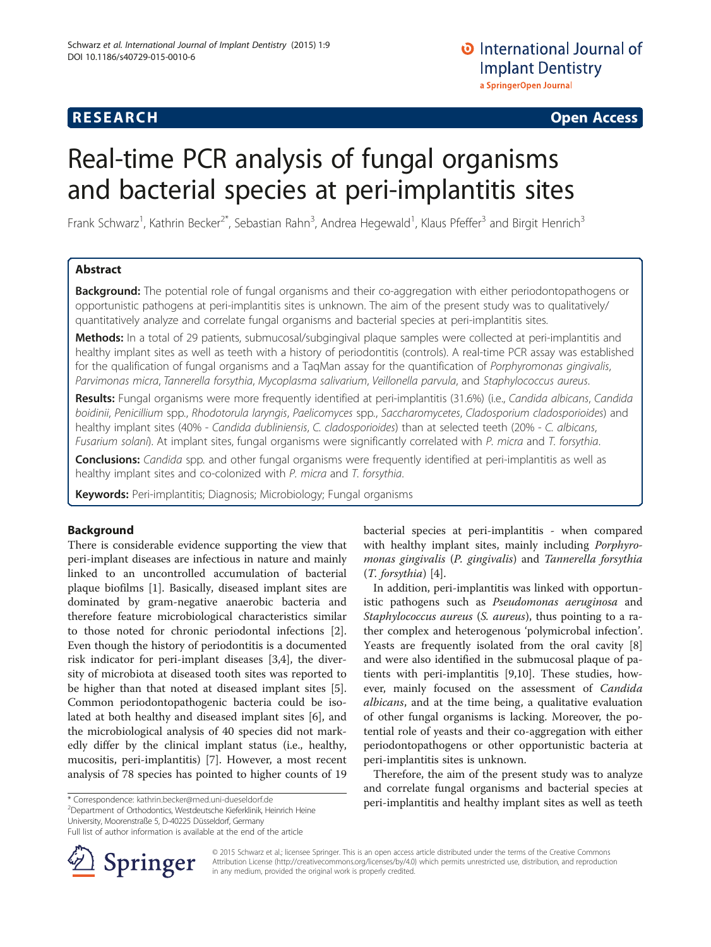# Real-time PCR analysis of fungal organisms and bacterial species at peri-implantitis sites

Frank Schwarz<sup>1</sup>, Kathrin Becker<sup>2\*</sup>, Sebastian Rahn<sup>3</sup>, Andrea Hegewald<sup>1</sup>, Klaus Pfeffer<sup>3</sup> and Birgit Henrich<sup>3</sup>

# Abstract

**Background:** The potential role of fungal organisms and their co-aggregation with either periodontopathogens or opportunistic pathogens at peri-implantitis sites is unknown. The aim of the present study was to qualitatively/ quantitatively analyze and correlate fungal organisms and bacterial species at peri-implantitis sites.

Methods: In a total of 29 patients, submucosal/subgingival plaque samples were collected at peri-implantitis and healthy implant sites as well as teeth with a history of periodontitis (controls). A real-time PCR assay was established for the qualification of fungal organisms and a TaqMan assay for the quantification of Porphyromonas gingivalis, Parvimonas micra, Tannerella forsythia, Mycoplasma salivarium, Veillonella parvula, and Staphylococcus aureus.

Results: Fungal organisms were more frequently identified at peri-implantitis (31.6%) (i.e., Candida albicans, Candida boidinii, Penicillium spp., Rhodotorula laryngis, Paelicomyces spp., Saccharomycetes, Cladosporium cladosporioides) and healthy implant sites (40% - Candida dubliniensis, C. cladosporioides) than at selected teeth (20% - C. albicans, Fusarium solani). At implant sites, fungal organisms were significantly correlated with P. micra and T. forsythia.

Conclusions: Candida spp. and other fungal organisms were frequently identified at peri-implantitis as well as healthy implant sites and co-colonized with P. micra and T. forsythia.

Keywords: Peri-implantitis; Diagnosis; Microbiology; Fungal organisms

# Background

There is considerable evidence supporting the view that peri-implant diseases are infectious in nature and mainly linked to an uncontrolled accumulation of bacterial plaque biofilms [[1\]](#page-5-0). Basically, diseased implant sites are dominated by gram-negative anaerobic bacteria and therefore feature microbiological characteristics similar to those noted for chronic periodontal infections [\[2](#page-5-0)]. Even though the history of periodontitis is a documented risk indicator for peri-implant diseases [[3,4\]](#page-5-0), the diversity of microbiota at diseased tooth sites was reported to be higher than that noted at diseased implant sites [\[5](#page-5-0)]. Common periodontopathogenic bacteria could be isolated at both healthy and diseased implant sites [[6\]](#page-5-0), and the microbiological analysis of 40 species did not markedly differ by the clinical implant status (i.e., healthy, mucositis, peri-implantitis) [[7](#page-5-0)]. However, a most recent analysis of 78 species has pointed to higher counts of 19

<sup>2</sup>Department of Orthodontics, Westdeutsche Kieferklinik, Heinrich Heine University, Moorenstraße 5, D-40225 Düsseldorf, Germany

Full list of author information is available at the end of the article



bacterial species at peri-implantitis - when compared with healthy implant sites, mainly including *Porphyro*monas gingivalis (P. gingivalis) and Tannerella forsythia (T. forsythia) [[4\]](#page-5-0).

In addition, peri-implantitis was linked with opportunistic pathogens such as Pseudomonas aeruginosa and Staphylococcus aureus (S. aureus), thus pointing to a rather complex and heterogenous 'polymicrobal infection'. Yeasts are frequently isolated from the oral cavity [\[8](#page-5-0)] and were also identified in the submucosal plaque of patients with peri-implantitis [[9,10\]](#page-5-0). These studies, however, mainly focused on the assessment of Candida albicans, and at the time being, a qualitative evaluation of other fungal organisms is lacking. Moreover, the potential role of yeasts and their co-aggregation with either periodontopathogens or other opportunistic bacteria at peri-implantitis sites is unknown.

Therefore, the aim of the present study was to analyze and correlate fungal organisms and bacterial species at \* Correspondence: [kathrin.becker@med.uni-dueseldorf.de](mailto:kathrin.becker@med.uni-dueseldorf.de) **by peri-implantitis and healthy implant sites as well as teeth** 

> © 2015 Schwarz et al.; licensee Springer. This is an open access article distributed under the terms of the Creative Commons Attribution License [\(http://creativecommons.org/licenses/by/4.0\)](http://creativecommons.org/licenses/by/4.0) which permits unrestricted use, distribution, and reproduction in any medium, provided the original work is properly credited.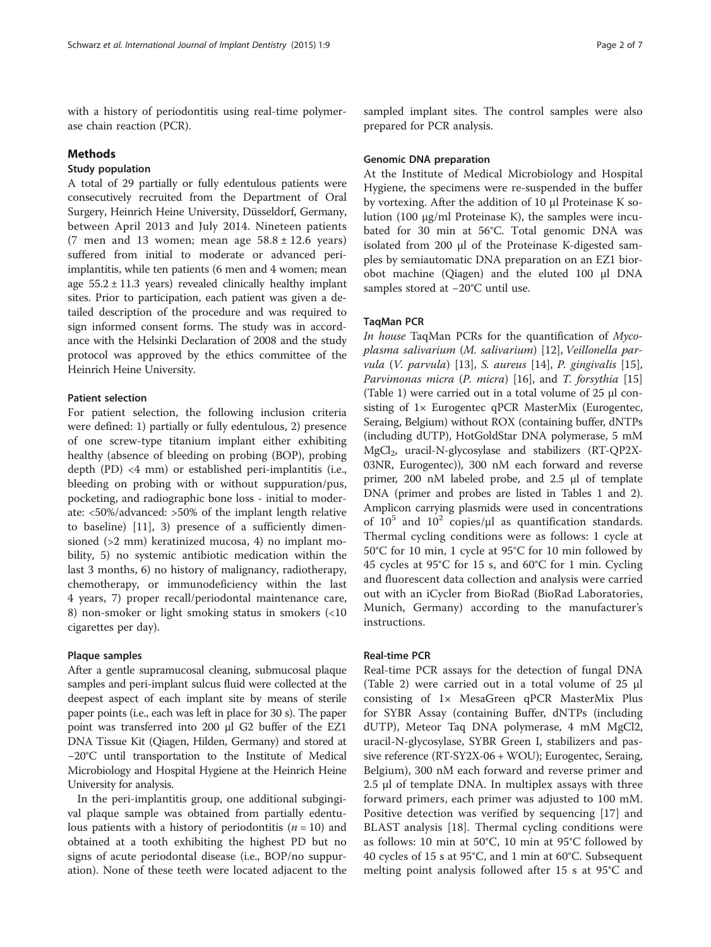with a history of periodontitis using real-time polymerase chain reaction (PCR).

## Methods

#### Study population

A total of 29 partially or fully edentulous patients were consecutively recruited from the Department of Oral Surgery, Heinrich Heine University, Düsseldorf, Germany, between April 2013 and July 2014. Nineteen patients (7 men and 13 women; mean age  $58.8 \pm 12.6$  years) suffered from initial to moderate or advanced periimplantitis, while ten patients (6 men and 4 women; mean age  $55.2 \pm 11.3$  years) revealed clinically healthy implant sites. Prior to participation, each patient was given a detailed description of the procedure and was required to sign informed consent forms. The study was in accordance with the Helsinki Declaration of 2008 and the study protocol was approved by the ethics committee of the Heinrich Heine University.

#### Patient selection

For patient selection, the following inclusion criteria were defined: 1) partially or fully edentulous, 2) presence of one screw-type titanium implant either exhibiting healthy (absence of bleeding on probing (BOP), probing depth (PD) <4 mm) or established peri-implantitis (i.e., bleeding on probing with or without suppuration/pus, pocketing, and radiographic bone loss - initial to moderate: <50%/advanced: >50% of the implant length relative to baseline) [\[11](#page-5-0)], 3) presence of a sufficiently dimensioned (>2 mm) keratinized mucosa, 4) no implant mobility, 5) no systemic antibiotic medication within the last 3 months, 6) no history of malignancy, radiotherapy, chemotherapy, or immunodeficiency within the last 4 years, 7) proper recall/periodontal maintenance care, 8) non-smoker or light smoking status in smokers (<10 cigarettes per day).

## Plaque samples

After a gentle supramucosal cleaning, submucosal plaque samples and peri-implant sulcus fluid were collected at the deepest aspect of each implant site by means of sterile paper points (i.e., each was left in place for 30 s). The paper point was transferred into 200 μl G2 buffer of the EZ1 DNA Tissue Kit (Qiagen, Hilden, Germany) and stored at −20°C until transportation to the Institute of Medical Microbiology and Hospital Hygiene at the Heinrich Heine University for analysis.

In the peri-implantitis group, one additional subgingival plaque sample was obtained from partially edentulous patients with a history of periodontitis  $(n = 10)$  and obtained at a tooth exhibiting the highest PD but no signs of acute periodontal disease (i.e., BOP/no suppuration). None of these teeth were located adjacent to the sampled implant sites. The control samples were also prepared for PCR analysis.

#### Genomic DNA preparation

At the Institute of Medical Microbiology and Hospital Hygiene, the specimens were re-suspended in the buffer by vortexing. After the addition of 10 μl Proteinase K solution (100 μg/ml Proteinase K), the samples were incubated for 30 min at 56°C. Total genomic DNA was isolated from 200 μl of the Proteinase K-digested samples by semiautomatic DNA preparation on an EZ1 biorobot machine (Qiagen) and the eluted 100 μl DNA samples stored at −20°C until use.

## TaqMan PCR

In house TaqMan PCRs for the quantification of Mycoplasma salivarium (M. salivarium) [[12\]](#page-5-0), Veillonella parvula (V. parvula) [\[13](#page-5-0)], S. aureus [\[14\]](#page-5-0), P. gingivalis [\[15](#page-6-0)], Parvimonas micra (P. micra) [\[16\]](#page-6-0), and T. forsythia [[15](#page-6-0)] (Table [1\)](#page-2-0) were carried out in a total volume of 25 μl consisting of 1× Eurogentec qPCR MasterMix (Eurogentec, Seraing, Belgium) without ROX (containing buffer, dNTPs (including dUTP), HotGoldStar DNA polymerase, 5 mM  $MgCl<sub>2</sub>$ , uracil-N-glycosylase and stabilizers (RT-QP2X-03NR, Eurogentec)), 300 nM each forward and reverse primer, 200 nM labeled probe, and 2.5 μl of template DNA (primer and probes are listed in Tables [1](#page-2-0) and [2](#page-2-0)). Amplicon carrying plasmids were used in concentrations of  $10^5$  and  $10^2$  copies/ $\mu$ l as quantification standards. Thermal cycling conditions were as follows: 1 cycle at 50°C for 10 min, 1 cycle at 95°C for 10 min followed by 45 cycles at 95°C for 15 s, and 60°C for 1 min. Cycling and fluorescent data collection and analysis were carried out with an iCycler from BioRad (BioRad Laboratories, Munich, Germany) according to the manufacturer's instructions.

#### Real-time PCR

Real-time PCR assays for the detection of fungal DNA (Table [2\)](#page-2-0) were carried out in a total volume of 25 μl consisting of 1× MesaGreen qPCR MasterMix Plus for SYBR Assay (containing Buffer, dNTPs (including dUTP), Meteor Taq DNA polymerase, 4 mM MgCl2, uracil-N-glycosylase, SYBR Green I, stabilizers and passive reference (RT-SY2X-06 + WOU); Eurogentec, Seraing, Belgium), 300 nM each forward and reverse primer and 2.5 μl of template DNA. In multiplex assays with three forward primers, each primer was adjusted to 100 mM. Positive detection was verified by sequencing [[17\]](#page-6-0) and BLAST analysis [\[18](#page-6-0)]. Thermal cycling conditions were as follows: 10 min at 50°C, 10 min at 95°C followed by 40 cycles of 15 s at 95°C, and 1 min at 60°C. Subsequent melting point analysis followed after 15 s at 95°C and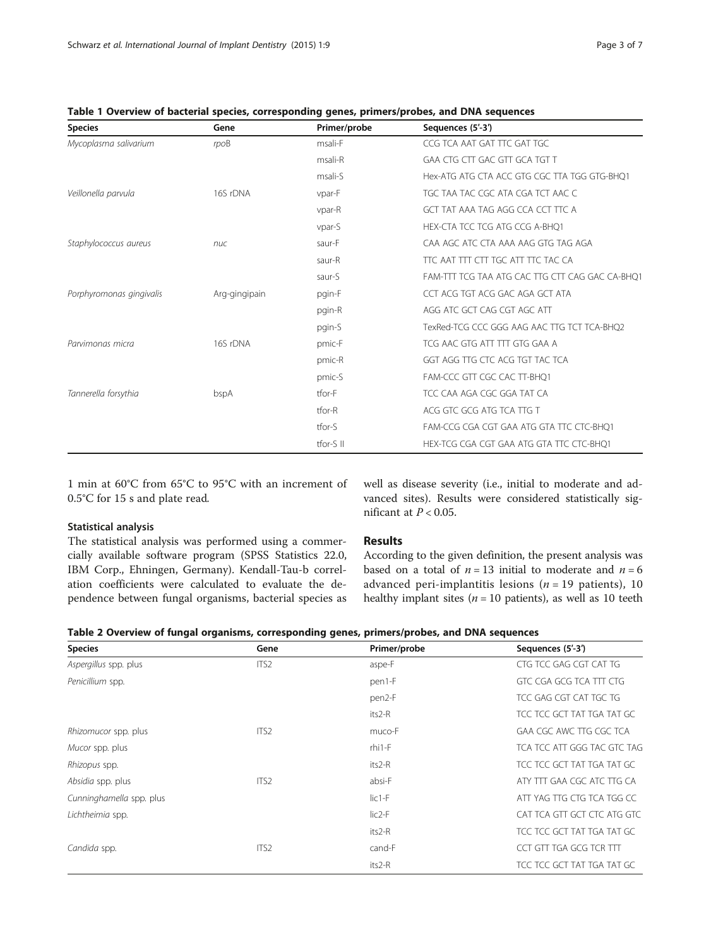| <b>Species</b>           | Gene          | Primer/probe | Sequences (5'-3')                               |
|--------------------------|---------------|--------------|-------------------------------------------------|
| Mycoplasma salivarium    | rpoB          | msali-F      | CCG TCA AAT GAT TTC GAT TGC                     |
|                          |               | msali-R      | GAA CTG CTT GAC GTT GCA TGT T                   |
|                          |               | msali-S      | Hex-ATG ATG CTA ACC GTG CGC TTA TGG GTG-BHO1    |
| Veillonella parvula      | 16S rDNA      | vpar-F       | TGC TAA TAC CGC ATA CGA TCT AAC C               |
|                          |               | vpar-R       | GCT TAT AAA TAG AGG CCA CCT TTC A               |
|                          |               | vpar-S       | HEX-CTA TCC TCG ATG CCG A-BHQ1                  |
| Staphylococcus aureus    | nuc           | saur-F       | CAA AGC ATC CTA AAA AAG GTG TAG AGA             |
|                          |               | saur-R       | TTC AAT TTT CTT TGC ATT TTC TAC CA              |
|                          |               | saur-S       | FAM-TTT TCG TAA ATG CAC TTG CTT CAG GAC CA-BHO1 |
| Porphyromonas gingivalis | Arg-gingipain | pgin-F       | CCT ACG TGT ACG GAC AGA GCT ATA                 |
|                          |               | pgin-R       | AGG ATC GCT CAG CGT AGC ATT                     |
|                          |               | pgin-S       | TexRed-TCG CCC GGG AAG AAC TTG TCT TCA-BHO2     |
| Parvimonas micra         | 16S rDNA      | pmic-F       | TCG AAC GTG ATT TTT GTG GAA A                   |
|                          |               | pmic-R       | GGT AGG TTG CTC ACG TGT TAC TCA                 |
|                          |               | pmic-S       | FAM-CCC GTT CGC CAC TT-BHQ1                     |
| Tannerella forsythia     | bspA          | tfor-F       | TCC CAA AGA CGC GGA TAT CA                      |
|                          |               | $t$ for-R    | ACG GTC GCG ATG TCA TTG T                       |
|                          |               | tfor-S       | FAM-CCG CGA CGT GAA ATG GTA TTC CTC-BHO1        |
|                          |               | tfor-S II    | HEX-TCG CGA CGT GAA ATG GTA TTC CTC-BHO1        |

<span id="page-2-0"></span>Table 1 Overview of bacterial species, corresponding genes, primers/probes, and DNA sequences

1 min at 60°C from 65°C to 95°C with an increment of 0.5°C for 15 s and plate read.

#### Statistical analysis

The statistical analysis was performed using a commercially available software program (SPSS Statistics 22.0, IBM Corp., Ehningen, Germany). Kendall-Tau-b correlation coefficients were calculated to evaluate the dependence between fungal organisms, bacterial species as well as disease severity (i.e., initial to moderate and advanced sites). Results were considered statistically significant at  $P < 0.05$ .

## Results

According to the given definition, the present analysis was based on a total of  $n = 13$  initial to moderate and  $n = 6$ advanced peri-implantitis lesions ( $n = 19$  patients), 10 healthy implant sites ( $n = 10$  patients), as well as 10 teeth

|  |  |  |  |  |  | Table 2 Overview of fungal organisms, corresponding genes, primers/probes, and DNA sequences |
|--|--|--|--|--|--|----------------------------------------------------------------------------------------------|
|--|--|--|--|--|--|----------------------------------------------------------------------------------------------|

| <b>Species</b>           | Gene             | Primer/probe       | Sequences (5'-3')           |
|--------------------------|------------------|--------------------|-----------------------------|
| Aspergillus spp. plus    | ITS <sub>2</sub> | aspe-F             | CTG TCC GAG CGT CAT TG      |
| Penicillium spp.         |                  | pen1-F             | GTC CGA GCG TCA TTT CTG     |
|                          |                  | pen2-F             | TCC GAG CGT CAT TGC TG      |
|                          |                  | its2-R             | TCC TCC GCT TAT TGA TAT GC  |
| Rhizomucor spp. plus     | ITS <sub>2</sub> | muco-F             | GAA CGC AWC TTG CGC TCA     |
| Mucor spp. plus          |                  | $rhi1-F$           | TCA TCC ATT GGG TAC GTC TAG |
| Rhizopus spp.            |                  | its2-R             | TCC TCC GCT TAT TGA TAT GC  |
| Absidia spp. plus        | ITS <sub>2</sub> | absi-F             | ATY TTT GAA CGC ATC TTG CA  |
| Cunninghamella spp. plus |                  | $lic1-F$           | ATT YAG TTG CTG TCA TGG CC  |
| Lichtheimia spp.         |                  | lic <sub>2-F</sub> | CAT TCA GTT GCT CTC ATG GTC |
|                          |                  | its2-R             | TCC TCC GCT TAT TGA TAT GC  |
| Candida spp.             | ITS <sub>2</sub> | cand-F             | CCT GTT TGA GCG TCR TTT     |
|                          |                  | its2-R             | TCC TCC GCT TAT TGA TAT GC  |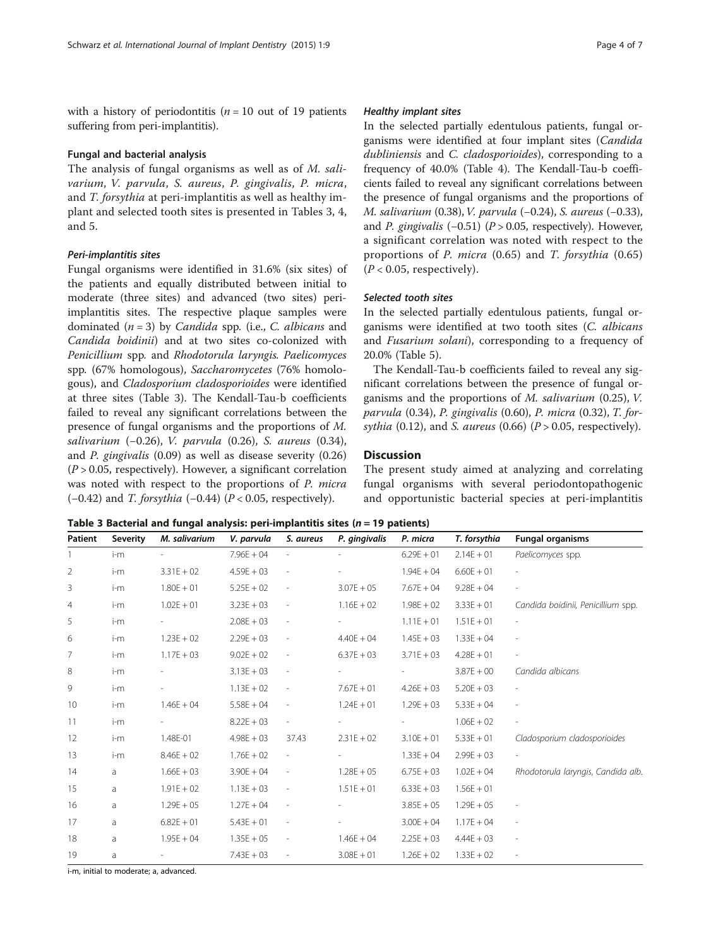with a history of periodontitis ( $n = 10$  out of 19 patients suffering from peri-implantitis).

## Fungal and bacterial analysis

The analysis of fungal organisms as well as of M. salivarium, V. parvula, S. aureus, P. gingivalis, P. micra, and T. forsythia at peri-implantitis as well as healthy implant and selected tooth sites is presented in Tables 3, [4](#page-4-0), and [5.](#page-4-0)

## Peri-implantitis sites

Fungal organisms were identified in 31.6% (six sites) of the patients and equally distributed between initial to moderate (three sites) and advanced (two sites) periimplantitis sites. The respective plaque samples were dominated  $(n = 3)$  by *Candida* spp. (i.e., *C. albicans* and Candida boidinii) and at two sites co-colonized with Penicillium spp. and Rhodotorula laryngis. Paelicomyces spp. (67% homologous), Saccharomycetes (76% homologous), and Cladosporium cladosporioides were identified at three sites (Table 3). The Kendall-Tau-b coefficients failed to reveal any significant correlations between the presence of fungal organisms and the proportions of M. salivarium (−0.26), V. parvula (0.26), S. aureus (0.34), and P. gingivalis (0.09) as well as disease severity (0.26)  $(P > 0.05$ , respectively). However, a significant correlation was noted with respect to the proportions of P. micra (-0.42) and T. forsythia (-0.44) ( $P < 0.05$ , respectively).

#### Healthy implant sites

In the selected partially edentulous patients, fungal organisms were identified at four implant sites (Candida dubliniensis and C. cladosporioides), corresponding to a frequency of 40.0% (Table [4](#page-4-0)). The Kendall-Tau-b coefficients failed to reveal any significant correlations between the presence of fungal organisms and the proportions of M. salivarium (0.38),V. parvula (−0.24), S. aureus (−0.33), and P. gingivalis  $(-0.51)$  (P > 0.05, respectively). However, a significant correlation was noted with respect to the proportions of P. micra (0.65) and T. forsythia (0.65)  $(P < 0.05$ , respectively).

## Selected tooth sites

In the selected partially edentulous patients, fungal organisms were identified at two tooth sites (C. albicans and Fusarium solani), corresponding to a frequency of 20.0% (Table [5\)](#page-4-0).

The Kendall-Tau-b coefficients failed to reveal any significant correlations between the presence of fungal organisms and the proportions of  $M$ . salivarium (0.25),  $V$ . parvula (0.34), P. gingivalis (0.60), P. micra (0.32), T. forsythia (0.12), and S. aureus (0.66) ( $P > 0.05$ , respectively).

## **Discussion**

The present study aimed at analyzing and correlating fungal organisms with several periodontopathogenic and opportunistic bacterial species at peri-implantitis

Table 3 Bacterial and fungal analysis: peri-implantitis sites ( $n = 19$  patients)

| Patient | Severity | M. salivarium | V. parvula   | S. aureus                | P. gingivalis | P. micra     | T. forsythia | <b>Fungal organisms</b>            |
|---------|----------|---------------|--------------|--------------------------|---------------|--------------|--------------|------------------------------------|
|         | $i-m$    |               | $7.96E + 04$ |                          |               | $6.29E + 01$ | $2.14E + 01$ | Paelicomyces spp.                  |
| 2       | i-m      | $3.31E + 02$  | $4.59E + 03$ |                          |               | $1.94E + 04$ | $6.60E + 01$ |                                    |
| 3       | i-m      | $1.80E + 01$  | $5.25E + 02$ |                          | $3.07E + 05$  | $7.67E + 04$ | $9.28E + 04$ | $\overline{\phantom{a}}$           |
| 4       | i-m      | $1.02E + 01$  | $3.23E + 03$ |                          | $1.16E + 02$  | $1.98E + 02$ | $3.33E + 01$ | Candida boidinii, Penicillium spp. |
| 5       | i-m      |               | $2.08E + 03$ |                          |               | $1.11E + 01$ | $1.51E + 01$ | $\overline{\phantom{a}}$           |
| 6       | i-m      | $1.23E + 02$  | $2.29E + 03$ |                          | $4.40E + 04$  | $1.45E + 03$ | $1.33E + 04$ | $\overline{\phantom{a}}$           |
| 7       | $i-m$    | $1.17E + 03$  | $9.02E + 02$ |                          | $6.37E + 03$  | $3.71E + 03$ | $4.28E + 01$ | $\frac{1}{2}$                      |
| 8       | i-m      |               | $3.13E + 03$ | $\overline{\phantom{a}}$ |               |              | $3.87E + 00$ | Candida albicans                   |
| 9       | i-m      |               | $1.13E + 02$ |                          | $7.67E + 01$  | $4.26E + 03$ | $5.20E + 03$ |                                    |
| 10      | $i-m$    | $1.46E + 04$  | $5.58E + 04$ |                          | $1.24E + 01$  | $1.29E + 03$ | $5.33E + 04$ | $\overline{\phantom{a}}$           |
| 11      | i-m      |               | $8.22E + 03$ | $\overline{\phantom{a}}$ |               |              | $1.06E + 02$ | $\overline{\phantom{a}}$           |
| 12      | $i-m$    | 1.48E-01      | $4.98E + 03$ | 37.43                    | $2.31E + 02$  | $3.10E + 01$ | $5.33E + 01$ | Cladosporium cladosporioides       |
| 13      | i-m      | $8.46E + 02$  | $1.76E + 02$ |                          |               | $1.33E + 04$ | $2.99E + 03$ |                                    |
| 14      | a        | $1.66E + 03$  | $3.90E + 04$ | $\overline{\phantom{a}}$ | $1.28E + 05$  | $6.75E + 03$ | $1.02E + 04$ | Rhodotorula laryngis, Candida alb. |
| 15      | a        | $1.91E + 02$  | $1.13E + 03$ |                          | $1.51E + 01$  | $6.33E + 03$ | $1.56E + 01$ |                                    |
| 16      | a        | $1.29E + 05$  | $1.27E + 04$ |                          |               | $3.85E + 05$ | $1.29E + 05$ |                                    |
| 17      | a        | $6.82E + 01$  | $5.43E + 01$ |                          |               | $3.00E + 04$ | $1.17E + 04$ | $\overline{\phantom{a}}$           |
| 18      | a        | $1.95E + 04$  | $1.35E + 05$ |                          | $1.46E + 04$  | $2.25E + 03$ | $4.44E + 03$ | $\overline{\phantom{a}}$           |
| 19      | a        |               | $7.43E + 03$ |                          | $3.08E + 01$  | $1.26E + 02$ | $1.33E + 02$ | $\overline{\phantom{a}}$           |

i-m, initial to moderate; a, advanced.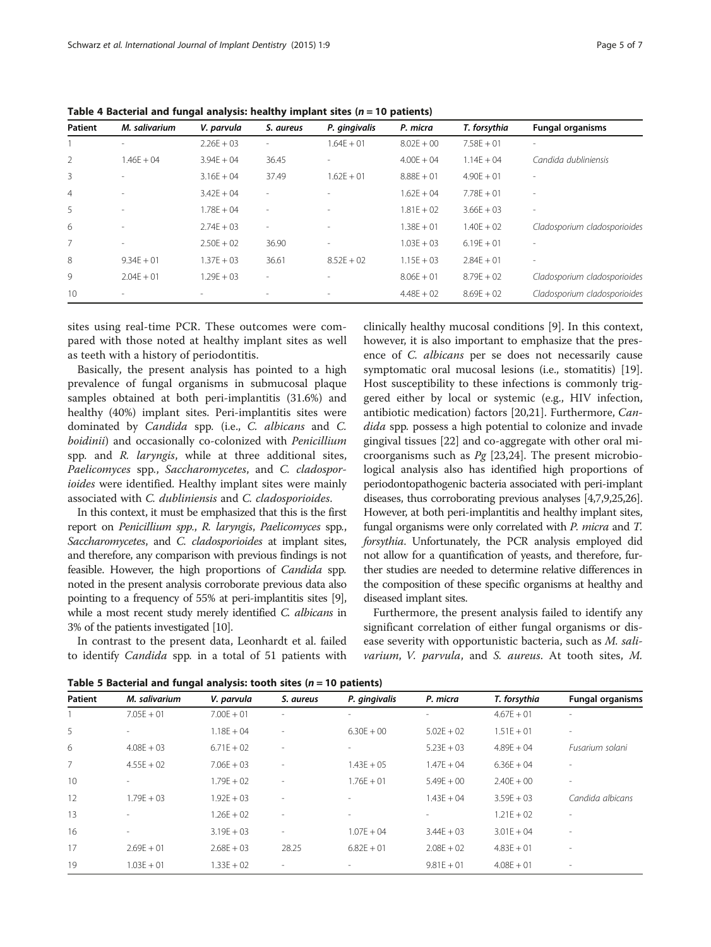| Patient        | M. salivarium            | V. parvula               | S. aureus                | P. gingivalis | P. micra     | T. forsythia | <b>Fungal organisms</b>      |
|----------------|--------------------------|--------------------------|--------------------------|---------------|--------------|--------------|------------------------------|
|                | $\overline{\phantom{a}}$ | $2.26E + 03$             | $\overline{\phantom{a}}$ | $1.64F + 01$  | $8.02E + 00$ | $7.58F + 01$ | ٠                            |
| 2              | $1.46E + 04$             | $3.94E + 04$             | 36.45                    | ۰             | $4.00E + 04$ | $1.14E + 04$ | Candida dubliniensis         |
| 3              | $\overline{\phantom{a}}$ | $3.16E + 04$             | 37.49                    | $1.62F + 01$  | $8.88E + 01$ | $4.90E + 01$ | $\overline{a}$               |
| $\overline{4}$ | $\overline{\phantom{a}}$ | $3.42F + 04$             | $\overline{a}$           |               | $1.62F + 04$ | $7.78F + 01$ | $\overline{\phantom{a}}$     |
| 5              | $\overline{\phantom{a}}$ | $1.78E + 04$             | $\overline{\phantom{a}}$ |               | $1.81E + 02$ | $3.66E + 03$ | $\overline{a}$               |
| 6              |                          | $2.74E + 03$             | $\overline{\phantom{a}}$ |               | $1.38E + 01$ | $1.40E + 02$ | Cladosporium cladosporioides |
| $\overline{7}$ | $\overline{\phantom{a}}$ | $2.50E + 02$             | 36.90                    | $\sim$        | $1.03E + 03$ | $6.19F + 01$ | ٠                            |
| 8              | $9.34F + 01$             | $1.37E + 03$             | 36.61                    | $8.52E + 02$  | $1.15E + 03$ | $2.84E + 01$ | ٠                            |
| 9              | $2.04F + 01$             | $1.29F + 03$             | $\overline{\phantom{a}}$ |               | $8.06E + 01$ | $8.79E + 02$ | Cladosporium cladosporioides |
| 10             | $\overline{\phantom{a}}$ | $\overline{\phantom{a}}$ | $\overline{\phantom{a}}$ |               | $4.48E + 02$ | $8.69E + 02$ | Cladosporium cladosporioides |

<span id="page-4-0"></span>Table 4 Bacterial and fungal analysis: healthy implant sites ( $n = 10$  patients)

sites using real-time PCR. These outcomes were compared with those noted at healthy implant sites as well as teeth with a history of periodontitis.

Basically, the present analysis has pointed to a high prevalence of fungal organisms in submucosal plaque samples obtained at both peri-implantitis (31.6%) and healthy (40%) implant sites. Peri-implantitis sites were dominated by Candida spp. (i.e., C. albicans and C. boidinii) and occasionally co-colonized with Penicillium spp. and R. laryngis, while at three additional sites, Paelicomyces spp., Saccharomycetes, and C. cladosporioides were identified. Healthy implant sites were mainly associated with C. dubliniensis and C. cladosporioides.

In this context, it must be emphasized that this is the first report on Penicillium spp., R. laryngis, Paelicomyces spp., Saccharomycetes, and C. cladosporioides at implant sites, and therefore, any comparison with previous findings is not feasible. However, the high proportions of Candida spp. noted in the present analysis corroborate previous data also pointing to a frequency of 55% at peri-implantitis sites [[9](#page-5-0)], while a most recent study merely identified C. albicans in 3% of the patients investigated [\[10](#page-5-0)].

In contrast to the present data, Leonhardt et al. failed to identify Candida spp. in a total of 51 patients with

clinically healthy mucosal conditions [[9](#page-5-0)]. In this context, however, it is also important to emphasize that the presence of C. albicans per se does not necessarily cause symptomatic oral mucosal lesions (i.e., stomatitis) [\[19](#page-6-0)]. Host susceptibility to these infections is commonly triggered either by local or systemic (e.g., HIV infection, antibiotic medication) factors [\[20,21\]](#page-6-0). Furthermore, Candida spp. possess a high potential to colonize and invade gingival tissues [[22\]](#page-6-0) and co-aggregate with other oral microorganisms such as  $Pg$  [\[23,24\]](#page-6-0). The present microbiological analysis also has identified high proportions of periodontopathogenic bacteria associated with peri-implant diseases, thus corroborating previous analyses [\[4,7,9,](#page-5-0)[25,26](#page-6-0)]. However, at both peri-implantitis and healthy implant sites, fungal organisms were only correlated with P. micra and T. forsythia. Unfortunately, the PCR analysis employed did not allow for a quantification of yeasts, and therefore, further studies are needed to determine relative differences in the composition of these specific organisms at healthy and diseased implant sites.

Furthermore, the present analysis failed to identify any significant correlation of either fungal organisms or disease severity with opportunistic bacteria, such as M. salivarium, V. parvula, and S. aureus. At tooth sites, M.

Table 5 Bacterial and fungal analysis: tooth sites (n = 10 patients)

|                | Table 5 Bacterial and fungal analysis: tooth sites (n = 10 patients) |               |                          |                          |              |              |                          |  |  |  |
|----------------|----------------------------------------------------------------------|---------------|--------------------------|--------------------------|--------------|--------------|--------------------------|--|--|--|
| Patient        | M. salivarium                                                        | V. parvula    | S. aureus                | P. gingivalis            | P. micra     | T. forsythia | <b>Fungal organisms</b>  |  |  |  |
|                | $7.05E + 01$                                                         | $7.00E + 01$  | $\overline{a}$           | $\overline{\phantom{a}}$ |              | $4.67E + 01$ | $\overline{\phantom{0}}$ |  |  |  |
| 5              | ٠                                                                    | $1.18E + 04$  | $\sim$                   | $6.30F + 00$             | $5.02F + 02$ | $1.51E + 01$ | ٠                        |  |  |  |
| 6              | $4.08F + 03$                                                         | $6.71E + 02$  | $\overline{\phantom{a}}$ |                          | $5.23E + 03$ | $4.89F + 04$ | Fusarium solani          |  |  |  |
| $\overline{7}$ | $4.55E + 02$                                                         | $7.06E + 03$  | $\overline{\phantom{a}}$ | $1.43E + 05$             | $1.47E + 04$ | $6.36E + 04$ | ٠                        |  |  |  |
| 10             | $\overline{\phantom{a}}$                                             | $1.79E + 02$  | $\sim$                   | $1.76F + 01$             | $5.49E + 00$ | $2.40F + 00$ | ٠                        |  |  |  |
| 12             | $1.79F + 03$                                                         | $1.92F + 0.3$ | $\overline{\phantom{a}}$ |                          | $1.43F + 04$ | $3.59E + 03$ | Candida albicans         |  |  |  |
| 13             | $\overline{\phantom{a}}$                                             | $1.26E + 02$  | $\sim$                   |                          |              | $1.21E + 02$ | $\overline{a}$           |  |  |  |
| 16             | $\overline{\phantom{a}}$                                             | $3.19E + 03$  | $\sim$                   | $1.07E + 04$             | $3.44E + 03$ | $3.01E + 04$ |                          |  |  |  |
| 17             | $2.69E + 01$                                                         | $2.68E + 03$  | 28.25                    | $6.82E + 01$             | $2.08E + 02$ | $4.83E + 01$ | $\overline{\phantom{0}}$ |  |  |  |
| 19             | $1.03E + 01$                                                         | $1.33E + 02$  | $\overline{\phantom{a}}$ |                          | $9.81E + 01$ | $4.08E + 01$ | $\overline{\phantom{a}}$ |  |  |  |
|                |                                                                      |               |                          |                          |              |              |                          |  |  |  |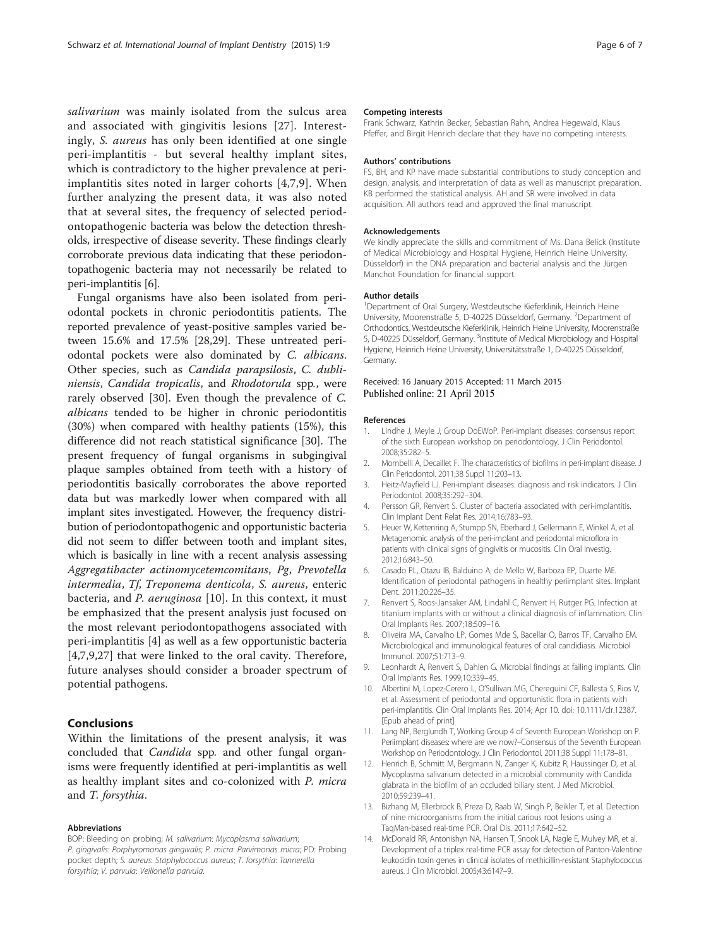<span id="page-5-0"></span>salivarium was mainly isolated from the sulcus area and associated with gingivitis lesions [[27](#page-6-0)]. Interestingly, S. aureus has only been identified at one single peri-implantitis - but several healthy implant sites, which is contradictory to the higher prevalence at periimplantitis sites noted in larger cohorts [4,7,9]. When further analyzing the present data, it was also noted that at several sites, the frequency of selected periodontopathogenic bacteria was below the detection thresholds, irrespective of disease severity. These findings clearly corroborate previous data indicating that these periodontopathogenic bacteria may not necessarily be related to peri-implantitis [6].

Fungal organisms have also been isolated from periodontal pockets in chronic periodontitis patients. The reported prevalence of yeast-positive samples varied between 15.6% and 17.5% [[28,29\]](#page-6-0). These untreated periodontal pockets were also dominated by C. albicans. Other species, such as Candida parapsilosis, C. dubliniensis, Candida tropicalis, and Rhodotorula spp., were rarely observed [\[30\]](#page-6-0). Even though the prevalence of C. albicans tended to be higher in chronic periodontitis (30%) when compared with healthy patients (15%), this difference did not reach statistical significance [[30](#page-6-0)]. The present frequency of fungal organisms in subgingival plaque samples obtained from teeth with a history of periodontitis basically corroborates the above reported data but was markedly lower when compared with all implant sites investigated. However, the frequency distribution of periodontopathogenic and opportunistic bacteria did not seem to differ between tooth and implant sites, which is basically in line with a recent analysis assessing Aggregatibacter actinomycetemcomitans, Pg, Prevotella intermedia, Tf, Treponema denticola, S. aureus, enteric bacteria, and *P. aeruginosa* [10]. In this context, it must be emphasized that the present analysis just focused on the most relevant periodontopathogens associated with peri-implantitis [4] as well as a few opportunistic bacteria [4,7,9,[27\]](#page-6-0) that were linked to the oral cavity. Therefore, future analyses should consider a broader spectrum of potential pathogens.

# Conclusions

Within the limitations of the present analysis, it was concluded that *Candida* spp. and other fungal organisms were frequently identified at peri-implantitis as well as healthy implant sites and co-colonized with P. micra and T. forsythia.

#### Abbreviations

BOP: Bleeding on probing; M. salivarium: Mycoplasma salivarium; P. gingivalis: Porphyromonas gingivalis; P. micra: Parvimonas micra; PD: Probing pocket depth; S. aureus: Staphylococcus aureus; T. forsythia: Tannerella forsythia; V. parvula: Veillonella parvula.

#### Competing interests

Frank Schwarz, Kathrin Becker, Sebastian Rahn, Andrea Hegewald, Klaus Pfeffer, and Birgit Henrich declare that they have no competing interests.

#### Authors' contributions

FS, BH, and KP have made substantial contributions to study conception and design, analysis, and interpretation of data as well as manuscript preparation. KB performed the statistical analysis. AH and SR were involved in data acquisition. All authors read and approved the final manuscript.

#### Acknowledgements

We kindly appreciate the skills and commitment of Ms. Dana Belick (Institute of Medical Microbiology and Hospital Hygiene, Heinrich Heine University, Düsseldorf) in the DNA preparation and bacterial analysis and the Jürgen Manchot Foundation for financial support.

#### Author details

<sup>1</sup>Department of Oral Surgery, Westdeutsche Kieferklinik, Heinrich Heine University, Moorenstraße 5, D-40225 Düsseldorf, Germany. <sup>2</sup>Department of Orthodontics, Westdeutsche Kieferklinik, Heinrich Heine University, Moorenstraße 5, D-40225 Düsseldorf, Germany. <sup>3</sup>Institute of Medical Microbiology and Hospital Hygiene, Heinrich Heine University, Universitätsstraße 1, D-40225 Düsseldorf, Germany.

#### Received: 16 January 2015 Accepted: 11 March 2015 Published online: 21 April 2015

#### References

- 1. Lindhe J, Meyle J, Group DoEWoP. Peri-implant diseases: consensus report of the sixth European workshop on periodontology. J Clin Periodontol. 2008;35:282–5.
- 2. Mombelli A, Decaillet F. The characteristics of biofilms in peri-implant disease. J Clin Periodontol. 2011;38 Suppl 11:203–13.
- 3. Heitz-Mayfield LJ. Peri-implant diseases: diagnosis and risk indicators. J Clin Periodontol. 2008;35:292–304.
- 4. Persson GR, Renvert S. Cluster of bacteria associated with peri-implantitis. Clin Implant Dent Relat Res. 2014;16:783–93.
- 5. Heuer W, Kettenring A, Stumpp SN, Eberhard J, Gellermann E, Winkel A, et al. Metagenomic analysis of the peri-implant and periodontal microflora in patients with clinical signs of gingivitis or mucositis. Clin Oral Investig. 2012;16:843–50.
- 6. Casado PL, Otazu IB, Balduino A, de Mello W, Barboza EP, Duarte ME. Identification of periodontal pathogens in healthy periimplant sites. Implant Dent. 2011;20:226–35.
- 7. Renvert S, Roos-Jansaker AM, Lindahl C, Renvert H, Rutger PG. Infection at titanium implants with or without a clinical diagnosis of inflammation. Clin Oral Implants Res. 2007;18:509–16.
- 8. Oliveira MA, Carvalho LP, Gomes Mde S, Bacellar O, Barros TF, Carvalho EM. Microbiological and immunological features of oral candidiasis. Microbiol Immunol. 2007;51:713–9.
- 9. Leonhardt A, Renvert S, Dahlen G. Microbial findings at failing implants. Clin Oral Implants Res. 1999;10:339–45.
- 10. Albertini M, Lopez-Cerero L, O'Sullivan MG, Chereguini CF, Ballesta S, Rios V, et al. Assessment of periodontal and opportunistic flora in patients with peri-implantitis. Clin Oral Implants Res. 2014; Apr 10. doi: 10.1111/clr.12387. [Epub ahead of print]
- 11. Lang NP, Berglundh T, Working Group 4 of Seventh European Workshop on P. Periimplant diseases: where are we now?–Consensus of the Seventh European Workshop on Periodontology. J Clin Periodontol. 2011;38 Suppl 11:178–81.
- 12. Henrich B, Schmitt M, Bergmann N, Zanger K, Kubitz R, Haussinger D, et al. Mycoplasma salivarium detected in a microbial community with Candida glabrata in the biofilm of an occluded biliary stent. J Med Microbiol. 2010;59:239–41.
- 13. Bizhang M, Ellerbrock B, Preza D, Raab W, Singh P, Beikler T, et al. Detection of nine microorganisms from the initial carious root lesions using a TaqMan-based real-time PCR. Oral Dis. 2011;17:642–52.
- 14. McDonald RR, Antonishyn NA, Hansen T, Snook LA, Nagle E, Mulvey MR, et al. Development of a triplex real-time PCR assay for detection of Panton-Valentine leukocidin toxin genes in clinical isolates of methicillin-resistant Staphylococcus aureus. J Clin Microbiol. 2005;43:6147–9.